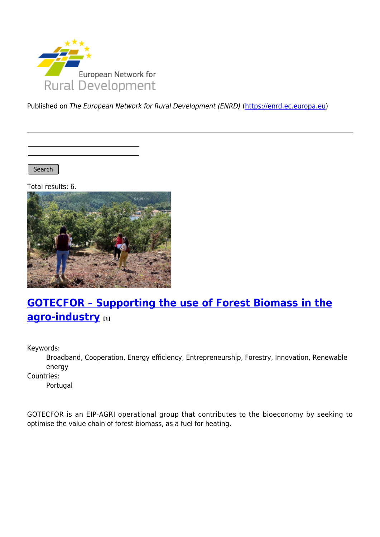

Published on The European Network for Rural Development (ENRD) [\(https://enrd.ec.europa.eu](https://enrd.ec.europa.eu))

Search |

Total results: 6.



# **[GOTECFOR – Supporting the use of Forest Biomass in the](https://enrd.ec.europa.eu/projects-practice/gotecfor-supporting-use-forest-biomass-agro-industry_en) [agro-industry](https://enrd.ec.europa.eu/projects-practice/gotecfor-supporting-use-forest-biomass-agro-industry_en) [1]**

Keywords:

Broadband, Cooperation, Energy efficiency, Entrepreneurship, Forestry, Innovation, Renewable energy

Countries:

Portugal

GOTECFOR is an EIP-AGRI operational group that contributes to the bioeconomy by seeking to optimise the value chain of forest biomass, as a fuel for heating.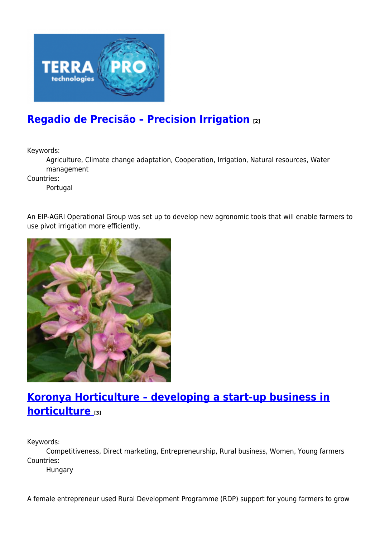

## **[Regadio de Precisão – Precision Irrigation](https://enrd.ec.europa.eu/projects-practice/regadio-de-precisao-precision-irrigation_en) [2]**

Keywords:

Agriculture, Climate change adaptation, Cooperation, Irrigation, Natural resources, Water management

Countries:

Portugal

An EIP-AGRI Operational Group was set up to develop new agronomic tools that will enable farmers to use pivot irrigation more efficiently.



## **[Koronya Horticulture – developing a start-up business in](https://enrd.ec.europa.eu/projects-practice/koronya-horticulture-developing-start-business-horticulture_en) horticulture**  $\overline{3}$

Keywords:

Competitiveness, Direct marketing, Entrepreneurship, Rural business, Women, Young farmers Countries:

Hungary

A female entrepreneur used Rural Development Programme (RDP) support for young farmers to grow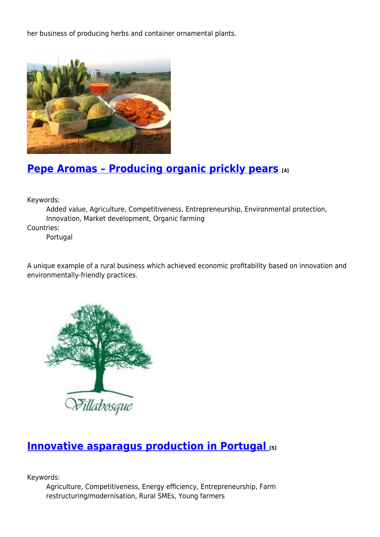her business of producing herbs and container ornamental plants.



## **[Pepe Aromas – Producing organic prickly pears](https://enrd.ec.europa.eu/projects-practice/pepe-aromas-producing-organic-prickly-pears_en) [4]**

Keywords:

Added value, Agriculture, Competitiveness, Entrepreneurship, Environmental protection, Innovation, Market development, Organic farming

Countries:

Portugal

A unique example of a rural business which achieved economic profitability based on innovation and environmentally-friendly practices.



### **[Innovative asparagus production in Portugal](https://enrd.ec.europa.eu/projects-practice/innovative-asparagus-production-portugal_en) [5]**

Keywords:

Agriculture, Competitiveness, Energy efficiency, Entrepreneurship, Farm restructuring/modernisation, Rural SMEs, Young farmers